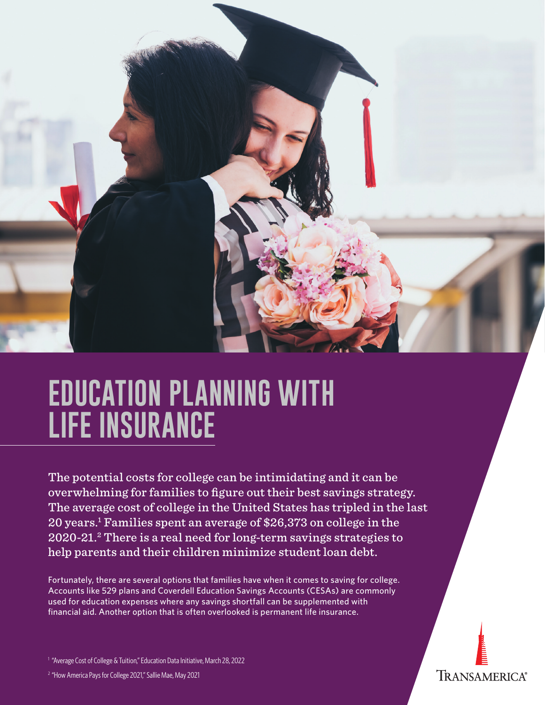

# **EDUCATION PLANNING WITH LIFE INSURANCE**

The potential costs for college can be intimidating and it can be overwhelming for families to figure out their best savings strategy. The average cost of college in the United States has tripled in the last 20 years.1 Families spent an average of \$26,373 on college in the 2020-21.2 There is a real need for long-term savings strategies to help parents and their children minimize student loan debt.

Fortunately, there are several options that families have when it comes to saving for college. Accounts like 529 plans and Coverdell Education Savings Accounts (CESAs) are commonly used for education expenses where any savings shortfall can be supplemented with financial aid. Another option that is often overlooked is permanent life insurance.



<sup>2</sup> "How America Pays for College 2021," Sallie Mae, May 2021

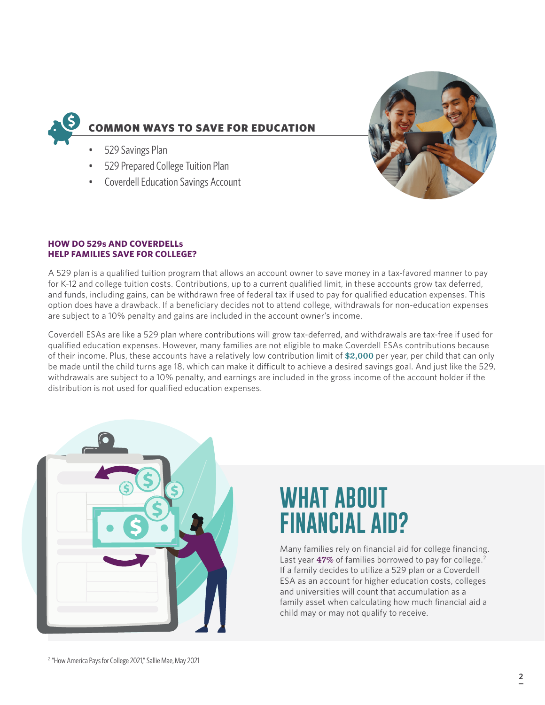

- 529 Savings Plan
- 529 Prepared College Tuition Plan
- Coverdell Education Savings Account



#### **HOW DO 529s AND COVERDELLs HELP FAMILIES SAVE FOR COLLEGE?**

A 529 plan is a qualified tuition program that allows an account owner to save money in a tax-favored manner to pay for K-12 and college tuition costs. Contributions, up to a current qualified limit, in these accounts grow tax deferred, and funds, including gains, can be withdrawn free of federal tax if used to pay for qualified education expenses. This option does have a drawback. If a beneficiary decides not to attend college, withdrawals for non-education expenses are subject to a 10% penalty and gains are included in the account owner's income.

Coverdell ESAs are like a 529 plan where contributions will grow tax-deferred, and withdrawals are tax-free if used for qualified education expenses. However, many families are not eligible to make Coverdell ESAs contributions because of their income. Plus, these accounts have a relatively low contribution limit of **\$2,000** per year, per child that can only be made until the child turns age 18, which can make it difficult to achieve a desired savings goal. And just like the 529, withdrawals are subject to a 10% penalty, and earnings are included in the gross income of the account holder if the distribution is not used for qualified education expenses.

| C                                             |
|-----------------------------------------------|
| Ċ<br>$\widehat{\boldsymbol{\varsigma}}$<br>C) |
| S                                             |
|                                               |
|                                               |

## **WHAT ABOUT FINANCIAL AID?**

Many families rely on financial aid for college financing. Last year **47%** of families borrowed to pay for college.2 If a family decides to utilize a 529 plan or a Coverdell ESA as an account for higher education costs, colleges and universities will count that accumulation as a family asset when calculating how much financial aid a child may or may not qualify to receive.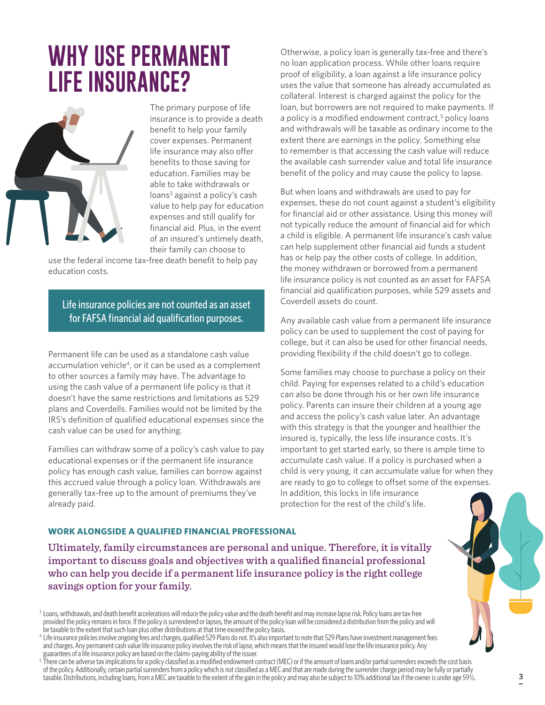### **WHY USE PERMANENT LIFE INSURANCE?**



The primary purpose of life insurance is to provide a death benefit to help your family cover expenses. Permanent life insurance may also offer benefits to those saving for education. Families may be able to take withdrawals or loans<sup>3</sup> against a policy's cash value to help pay for education expenses and still qualify for financial aid. Plus, in the event of an insured's untimely death, their family can choose to

use the federal income tax-free death benefit to help pay education costs.

Life insurance policies are not counted as an asset for FAFSA financial aid qualification purposes.

Permanent life can be used as a standalone cash value accumulation vehicle<sup>4</sup>, or it can be used as a complement to other sources a family may have. The advantage to using the cash value of a permanent life policy is that it doesn't have the same restrictions and limitations as 529 plans and Coverdells. Families would not be limited by the IRS's definition of qualified educational expenses since the cash value can be used for anything.

Families can withdraw some of a policy's cash value to pay educational expenses or if the permanent life insurance policy has enough cash value, families can borrow against this accrued value through a policy loan. Withdrawals are generally tax-free up to the amount of premiums they've already paid.

Otherwise, a policy loan is generally tax-free and there's no loan application process. While other loans require proof of eligibility, a loan against a life insurance policy uses the value that someone has already accumulated as collateral. Interest is charged against the policy for the loan, but borrowers are not required to make payments. If a policy is a modified endowment contract,<sup>5</sup> policy loans and withdrawals will be taxable as ordinary income to the extent there are earnings in the policy. Something else to remember is that accessing the cash value will reduce the available cash surrender value and total life insurance benefit of the policy and may cause the policy to lapse.

But when loans and withdrawals are used to pay for expenses, these do not count against a student's eligibility for financial aid or other assistance. Using this money will not typically reduce the amount of financial aid for which a child is eligible. A permanent life insurance's cash value can help supplement other financial aid funds a student has or help pay the other costs of college. In addition, the money withdrawn or borrowed from a permanent life insurance policy is not counted as an asset for FAFSA financial aid qualification purposes, while 529 assets and Coverdell assets do count.

Any available cash value from a permanent life insurance policy can be used to supplement the cost of paying for college, but it can also be used for other financial needs, providing flexibility if the child doesn't go to college.

Some families may choose to purchase a policy on their child. Paying for expenses related to a child's education can also be done through his or her own life insurance policy. Parents can insure their children at a young age and access the policy's cash value later. An advantage with this strategy is that the younger and healthier the insured is, typically, the less life insurance costs. It's important to get started early, so there is ample time to accumulate cash value. If a policy is purchased when a child is very young, it can accumulate value for when they are ready to go to college to offset some of the expenses. In addition, this locks in life insurance protection for the rest of the child's life.

#### **WORK ALONGSIDE A QUALIFIED FINANCIAL PROFESSIONAL**

Ultimately, family circumstances are personal and unique. Therefore, it is vitally important to discuss goals and objectives with a qualified financial professional who can help you decide if a permanent life insurance policy is the right college savings option for your family.

<sup>&</sup>lt;sup>3</sup> Loans, withdrawals, and death benefit accelerations will reduce the policy value and the death benefit and may increase lapse risk. Policy loans are tax-free provided the policy remains in force. If the policy is surrendered or lapses, the amount of the policy loan will be considered a distribution from the policy and will be taxable to the extent that such loan plus other distributions at that time exceed the policy basis.

<sup>&</sup>lt;sup>4</sup> Life insurance policies involve ongoing fees and charges, qualified 529 Plans do not. It's also important to note that 529 Plans have investment management fees and charges. Any permanent cash value life insurance policy involves the risk of lapse, which means that the insured would lose the life insurance policy. Any guarantees of a life insurance policy are based on the claims-paying ability of the issuer.

 $^5$  There can be adverse tax implications for a policy classified as a modified endowment contract (MEC) or if the amount of loans and/or partial surrenders exceeds the cost basis of the policy. Additionally, certain partial surrenders from a policy which is not classified as a MEC and that are made during the surrender charge period may be fully or partially taxable. Distributions, including loans, from a MEC are taxable to the extent of the gain in the policy and may also be subject to 10% additional tax if the owner is under age 59½.